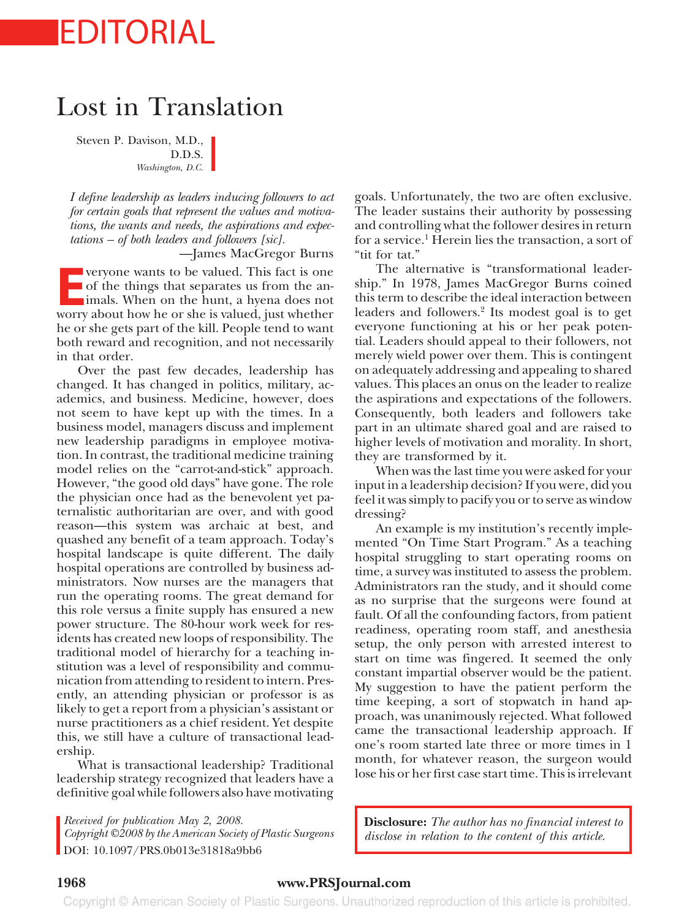# EDITORIAL

## Lost in Translation

Steven P. Davison, M.D., D.D.S. *Washington, D.C.*

*I define leadership as leaders inducing followers to act for certain goals that represent the values and motivations, the wants and needs, the aspirations and expectations – of both leaders and followers [sic].*

—James MacGregor Burns

**EVERYONE WANKS TO BE VALUED.** This fact is one of the things that separates us from the animals. When on the hunt, a hyena does not worry about how he or she is valued, just whether veryone wants to be valued. This fact is one<br>of the things that separates us from the animals. When on the hunt, a hyena does not worry about how he or she is valued, just whether he or she gets part of the kill. People tend to want both reward and recognition, and not necessarily in that order.

Over the past few decades, leadership has changed. It has changed in politics, military, academics, and business. Medicine, however, does not seem to have kept up with the times. In a business model, managers discuss and implement new leadership paradigms in employee motivation. In contrast, the traditional medicine training model relies on the "carrot-and-stick" approach. However, "the good old days" have gone. The role the physician once had as the benevolent yet paternalistic authoritarian are over, and with good reason—this system was archaic at best, and quashed any benefit of a team approach. Today's hospital landscape is quite different. The daily hospital operations are controlled by business administrators. Now nurses are the managers that run the operating rooms. The great demand for this role versus a finite supply has ensured a new power structure. The 80-hour work week for residents has created new loops of responsibility. The traditional model of hierarchy for a teaching institution was a level of responsibility and communication from attending to resident to intern. Presently, an attending physician or professor is as likely to get a report from a physician's assistant or nurse practitioners as a chief resident. Yet despite this, we still have a culture of transactional leadership.

What is transactional leadership? Traditional leadership strategy recognized that leaders have a definitive goal while followers also have motivating

*Received for publication May 2, 2008.*

*Copyright ©2008 by the American Society of Plastic Surgeons* DOI: 10.1097/PRS.0b013e31818a9bb6

goals. Unfortunately, the two are often exclusive. The leader sustains their authority by possessing and controlling what the follower desires in return for a service.<sup>1</sup> Herein lies the transaction, a sort of "tit for tat."

The alternative is "transformational leadership." In 1978, James MacGregor Burns coined this term to describe the ideal interaction between leaders and followers.<sup>2</sup> Its modest goal is to get everyone functioning at his or her peak potential. Leaders should appeal to their followers, not merely wield power over them. This is contingent on adequately addressing and appealing to shared values. This places an onus on the leader to realize the aspirations and expectations of the followers. Consequently, both leaders and followers take part in an ultimate shared goal and are raised to higher levels of motivation and morality. In short, they are transformed by it.

When was the last time you were asked for your input in a leadership decision? If you were, did you feel it was simply to pacify you or to serve as window dressing?

An example is my institution's recently implemented "On Time Start Program." As a teaching hospital struggling to start operating rooms on time, a survey was instituted to assess the problem. Administrators ran the study, and it should come as no surprise that the surgeons were found at fault. Of all the confounding factors, from patient readiness, operating room staff, and anesthesia setup, the only person with arrested interest to start on time was fingered. It seemed the only constant impartial observer would be the patient. My suggestion to have the patient perform the time keeping, a sort of stopwatch in hand approach, was unanimously rejected. What followed came the transactional leadership approach. If one's room started late three or more times in 1 month, for whatever reason, the surgeon would lose his or her first case start time. This is irrelevant

**Disclosure:** *The author has no financial interest to disclose in relation to the content of this article.*

#### **1968 www.PRSJournal.com**

Copyright © American Society of Plastic Surgeons. Unauthorized reproduction of this article is prohibited.